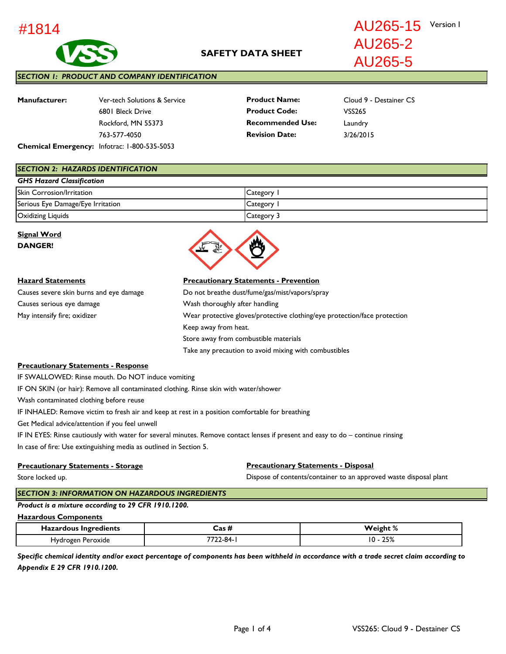

AU265-15 Version I

AU265-2 AU265-5

### *SECTION 1: PRODUCT AND COMPANY IDENTIFICATION*

| <b>Manufacturer:</b>                      | Ver-tech Solutions & Service | <b>Product Name:</b>    | Cloud 9 - Destainer CS |
|-------------------------------------------|------------------------------|-------------------------|------------------------|
|                                           | 6801 Bleck Drive             | <b>Product Code:</b>    | VSS265                 |
|                                           | Rockford, MN 55373           | <b>Recommended Use:</b> | Laundry                |
|                                           | 763-577-4050                 | <b>Revision Date:</b>   | 3/26/2015              |
| Chamical Emergency: Information CODE COER |                              |                         |                        |

**Chemical Emergency:** Infotrac: 1-800-535-5053

#### *SECTION 2: HAZARDS IDENTIFICATION*

| <b>GHS Hazard Classification</b>  |            |  |
|-----------------------------------|------------|--|
| <b>Skin Corrosion/Irritation</b>  | Category 1 |  |
| Serious Eye Damage/Eye Irritation | Category 1 |  |
| Oxidizing Liquids                 | Category 3 |  |

Take any precaution to avoid mixing with combustibles

## **Signal Word DANGER!**



### **Hazard Statements Precautionary Statements - Prevention**

| Causes severe skin burns and eye damage | Do not breathe dust/fume/gas/mist/vapors/spray                            |
|-----------------------------------------|---------------------------------------------------------------------------|
| Causes serious eye damage               | Wash thoroughly after handling                                            |
| May intensify fire; oxidizer            | Wear protective gloves/protective clothing/eye protection/face protection |
|                                         | Keep away from heat.                                                      |
|                                         | Store away from combustible materials                                     |
|                                         |                                                                           |

#### **Precautionary Statements - Response**

IF SWALLOWED: Rinse mouth. Do NOT induce vomiting

IF ON SKIN (or hair): Remove all contaminated clothing. Rinse skin with water/shower

Wash contaminated clothing before reuse

IF INHALED: Remove victim to fresh air and keep at rest in a position comfortable for breathing

Get Medical advice/attention if you feel unwell

IF IN EYES: Rinse cautiously with water for several minutes. Remove contact lenses if present and easy to do – continue rinsing In case of fire: Use extinguishing media as outlined in Section 5.

#### **Precautionary Statements - Storage**

**Precautionary Statements - Disposal**

Store locked up.

Dispose of contents/container to an approved waste disposal plant

# *SECTION 3: INFORMATION ON HAZARDOUS INGREDIENTS*

### *Product is a mixture according to 29 CFR 1910.1200.*

### **Hazardous Components**

| Hazardous Ingredients       | $\text{Cas}\, \hbar$  | ∼<br>Weiσhi<br>$\alpha$                             |
|-----------------------------|-----------------------|-----------------------------------------------------|
| Peroxide<br>'″∩σAι.<br>ivdr | 770 O<br>$1 - 84 - 1$ | 7EQ<br>$\ddot{\phantom{1}}$<br><b>23%</b><br>$\sim$ |

*Specific chemical identity and/or exact percentage of components has been withheld in accordance with a trade secret claim according to Appendix E 29 CFR 1910.1200.*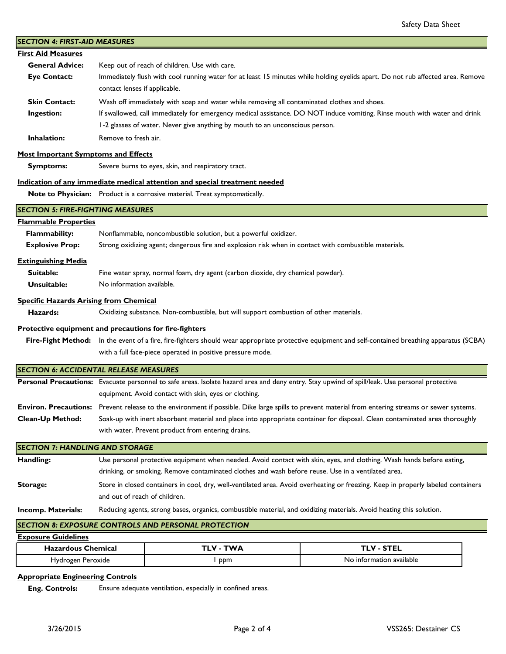| <b>SECTION 4: FIRST-AID MEASURES</b>                                                                                                              |                                                                                                                                                     |                                                                                                       |                                                                                                                                                     |  |
|---------------------------------------------------------------------------------------------------------------------------------------------------|-----------------------------------------------------------------------------------------------------------------------------------------------------|-------------------------------------------------------------------------------------------------------|-----------------------------------------------------------------------------------------------------------------------------------------------------|--|
| <b>First Aid Measures</b>                                                                                                                         |                                                                                                                                                     |                                                                                                       |                                                                                                                                                     |  |
| <b>General Advice:</b>                                                                                                                            |                                                                                                                                                     | Keep out of reach of children. Use with care.                                                         |                                                                                                                                                     |  |
| <b>Eye Contact:</b>                                                                                                                               | contact lenses if applicable.                                                                                                                       |                                                                                                       | Immediately flush with cool running water for at least 15 minutes while holding eyelids apart. Do not rub affected area. Remove                     |  |
| <b>Skin Contact:</b>                                                                                                                              |                                                                                                                                                     | Wash off immediately with soap and water while removing all contaminated clothes and shoes.           |                                                                                                                                                     |  |
| Ingestion:                                                                                                                                        |                                                                                                                                                     |                                                                                                       | If swallowed, call immediately for emergency medical assistance. DO NOT induce vomiting. Rinse mouth with water and drink                           |  |
|                                                                                                                                                   |                                                                                                                                                     | 1-2 glasses of water. Never give anything by mouth to an unconscious person.                          |                                                                                                                                                     |  |
| Inhalation:                                                                                                                                       | Remove to fresh air.                                                                                                                                |                                                                                                       |                                                                                                                                                     |  |
| <b>Most Important Symptoms and Effects</b>                                                                                                        |                                                                                                                                                     |                                                                                                       |                                                                                                                                                     |  |
| <b>Symptoms:</b>                                                                                                                                  |                                                                                                                                                     | Severe burns to eyes, skin, and respiratory tract.                                                    |                                                                                                                                                     |  |
|                                                                                                                                                   |                                                                                                                                                     | Indication of any immediate medical attention and special treatment needed                            |                                                                                                                                                     |  |
|                                                                                                                                                   |                                                                                                                                                     | Note to Physician: Product is a corrosive material. Treat symptomatically.                            |                                                                                                                                                     |  |
| <b>SECTION 5: FIRE-FIGHTING MEASURES</b>                                                                                                          |                                                                                                                                                     |                                                                                                       |                                                                                                                                                     |  |
| <b>Flammable Properties</b>                                                                                                                       |                                                                                                                                                     |                                                                                                       |                                                                                                                                                     |  |
| <b>Flammability:</b>                                                                                                                              |                                                                                                                                                     | Nonflammable, noncombustible solution, but a powerful oxidizer.                                       |                                                                                                                                                     |  |
| <b>Explosive Prop:</b>                                                                                                                            |                                                                                                                                                     | Strong oxidizing agent; dangerous fire and explosion risk when in contact with combustible materials. |                                                                                                                                                     |  |
| <b>Extinguishing Media</b>                                                                                                                        |                                                                                                                                                     |                                                                                                       |                                                                                                                                                     |  |
| Suitable:                                                                                                                                         |                                                                                                                                                     | Fine water spray, normal foam, dry agent (carbon dioxide, dry chemical powder).                       |                                                                                                                                                     |  |
| Unsuitable:                                                                                                                                       | No information available.                                                                                                                           |                                                                                                       |                                                                                                                                                     |  |
| <b>Specific Hazards Arising from Chemical</b>                                                                                                     |                                                                                                                                                     |                                                                                                       |                                                                                                                                                     |  |
| Hazards:                                                                                                                                          | Oxidizing substance. Non-combustible, but will support combustion of other materials.                                                               |                                                                                                       |                                                                                                                                                     |  |
| Protective equipment and precautions for fire-fighters                                                                                            |                                                                                                                                                     |                                                                                                       |                                                                                                                                                     |  |
|                                                                                                                                                   | Fire-Fight Method: In the event of a fire, fire-fighters should wear appropriate protective equipment and self-contained breathing apparatus (SCBA) |                                                                                                       |                                                                                                                                                     |  |
|                                                                                                                                                   | with a full face-piece operated in positive pressure mode.                                                                                          |                                                                                                       |                                                                                                                                                     |  |
| <b>SECTION 6: ACCIDENTAL RELEASE MEASURES</b>                                                                                                     |                                                                                                                                                     |                                                                                                       |                                                                                                                                                     |  |
|                                                                                                                                                   |                                                                                                                                                     |                                                                                                       | Personal Precautions: Evacuate personnel to safe areas. Isolate hazard area and deny entry. Stay upwind of spill/leak. Use personal protective      |  |
|                                                                                                                                                   |                                                                                                                                                     | equipment. Avoid contact with skin, eyes or clothing.                                                 |                                                                                                                                                     |  |
|                                                                                                                                                   |                                                                                                                                                     |                                                                                                       | Environ. Precautions: Prevent release to the environment if possible. Dike large spills to prevent material from entering streams or sewer systems. |  |
| Clean-Up Method:                                                                                                                                  |                                                                                                                                                     |                                                                                                       | Soak-up with inert absorbent material and place into appropriate container for disposal. Clean contaminated area thoroughly                         |  |
| with water. Prevent product from entering drains.                                                                                                 |                                                                                                                                                     |                                                                                                       |                                                                                                                                                     |  |
| <b>SECTION 7: HANDLING AND STORAGE</b>                                                                                                            |                                                                                                                                                     |                                                                                                       |                                                                                                                                                     |  |
| Handling:                                                                                                                                         | Use personal protective equipment when needed. Avoid contact with skin, eyes, and clothing. Wash hands before eating,                               |                                                                                                       |                                                                                                                                                     |  |
|                                                                                                                                                   | drinking, or smoking. Remove contaminated clothes and wash before reuse. Use in a ventilated area.                                                  |                                                                                                       |                                                                                                                                                     |  |
| <b>Storage:</b>                                                                                                                                   | Store in closed containers in cool, dry, well-ventilated area. Avoid overheating or freezing. Keep in properly labeled containers                   |                                                                                                       |                                                                                                                                                     |  |
|                                                                                                                                                   | and out of reach of children.                                                                                                                       |                                                                                                       |                                                                                                                                                     |  |
| Reducing agents, strong bases, organics, combustible material, and oxidizing materials. Avoid heating this solution.<br><b>Incomp. Materials:</b> |                                                                                                                                                     |                                                                                                       |                                                                                                                                                     |  |
| <b>SECTION 8: EXPOSURE CONTROLS AND PERSONAL PROTECTION</b>                                                                                       |                                                                                                                                                     |                                                                                                       |                                                                                                                                                     |  |
| <b>Exposure Guidelines</b>                                                                                                                        |                                                                                                                                                     |                                                                                                       |                                                                                                                                                     |  |
| <b>Hazardous Chemical</b>                                                                                                                         |                                                                                                                                                     | <b>TLV - TWA</b>                                                                                      | <b>TLV - STEL</b>                                                                                                                                   |  |
| Hydrogen Peroxide                                                                                                                                 |                                                                                                                                                     | I ppm                                                                                                 | No information available                                                                                                                            |  |
| Annropriate Engineering Controls                                                                                                                  |                                                                                                                                                     |                                                                                                       |                                                                                                                                                     |  |

# **Appropriate Engineering Controls**

 **Eng. Controls:** Ensure adequate ventilation, especially in confined areas.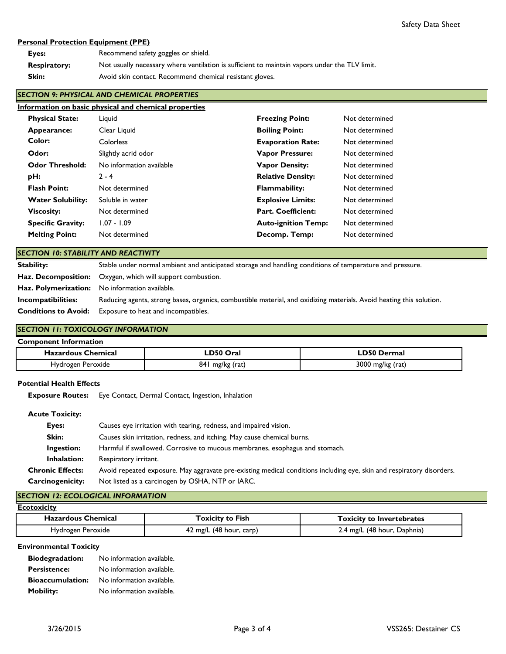## **Personal Protection Equipment (PPE)**

| Eyes:               | Recommend safety goggles or shield.                                                           |
|---------------------|-----------------------------------------------------------------------------------------------|
| <b>Respiratory:</b> | Not usually necessary where ventilation is sufficient to maintain vapors under the TLV limit. |
| Skin:               | Avoid skin contact. Recommend chemical resistant gloves.                                      |

## *SECTION 9: PHYSICAL AND CHEMICAL PROPERTIES*

|                          | Information on basic physical and chemical properties |                            |                |
|--------------------------|-------------------------------------------------------|----------------------------|----------------|
| <b>Physical State:</b>   | Liguid                                                | <b>Freezing Point:</b>     | Not determined |
| Appearance:              | Clear Liquid                                          | <b>Boiling Point:</b>      | Not determined |
| Color:                   | Colorless                                             | <b>Evaporation Rate:</b>   | Not determined |
| Odor:                    | Slightly acrid odor                                   | <b>Vapor Pressure:</b>     | Not determined |
| <b>Odor Threshold:</b>   | No information available                              | <b>Vapor Density:</b>      | Not determined |
| pH:                      | $2 - 4$                                               | <b>Relative Density:</b>   | Not determined |
| <b>Flash Point:</b>      | Not determined                                        | <b>Flammability:</b>       | Not determined |
| <b>Water Solubility:</b> | Soluble in water                                      | <b>Explosive Limits:</b>   | Not determined |
| <b>Viscosity:</b>        | Not determined                                        | <b>Part. Coefficient:</b>  | Not determined |
| <b>Specific Gravity:</b> | $1.07 - 1.09$                                         | <b>Auto-ignition Temp:</b> | Not determined |
| <b>Melting Point:</b>    | Not determined                                        | Decomp. Temp:              | Not determined |

## *SECTION 10: STABILITY AND REACTIVITY*

| <b>Stability:</b>           | Stable under normal ambient and anticipated storage and handling conditions of temperature and pressure.             |
|-----------------------------|----------------------------------------------------------------------------------------------------------------------|
|                             | Haz. Decomposition: Oxygen, which will support combustion.                                                           |
|                             | <b>Haz. Polymerization:</b> No information available.                                                                |
| Incompatibilities:          | Reducing agents, strong bases, organics, combustible material, and oxidizing materials. Avoid heating this solution. |
| <b>Conditions to Avoid:</b> | Exposure to heat and incompatibles.                                                                                  |

## *SECTION 11: TOXICOLOGY INFORMATION*

| <b>Component Information</b> |                 |                    |  |
|------------------------------|-----------------|--------------------|--|
| <b>Hazardous Chemical</b>    | LD50 Oral       | <b>LD50 Dermal</b> |  |
| Hydrogen Peroxide            | 841 mg/kg (rat) | $3000$ mg/kg (rat) |  |

### **Potential Health Effects**

 **Exposure Routes:** Eye Contact, Dermal Contact, Ingestion, Inhalation

## **Acute Toxicity:**

| Eyes:                   | Causes eye irritation with tearing, redness, and impaired vision.                                                     |
|-------------------------|-----------------------------------------------------------------------------------------------------------------------|
| Skin:                   | Causes skin irritation, redness, and itching. May cause chemical burns.                                               |
| Ingestion:              | Harmful if swallowed. Corrosive to mucous membranes, esophagus and stomach.                                           |
| <b>Inhalation:</b>      | Respiratory irritant.                                                                                                 |
| <b>Chronic Effects:</b> | Avoid repeated exposure. May aggravate pre-existing medical conditions including eye, skin and respiratory disorders. |
| Carcinogenicity:        | Not listed as a carcinogen by OSHA, NTP or IARC.                                                                      |

# *SECTION 12: ECOLOGICAL INFORMATION*

| <b>Ecotoxicity</b>        |                         |                                  |  |
|---------------------------|-------------------------|----------------------------------|--|
| <b>Hazardous Chemical</b> | <b>Toxicity to Fish</b> | <b>Toxicity to Invertebrates</b> |  |
| Hydrogen Peroxide         | 42 mg/L (48 hour, carp) | 2.4 mg/L (48 hour, Daphnia)      |  |

### **Environmental Toxicity**

| <b>Biodegradation:</b>  | No information available. |
|-------------------------|---------------------------|
| <b>Persistence:</b>     | No information available. |
| <b>Bioaccumulation:</b> | No information available. |
| <b>Mobility:</b>        | No information available. |